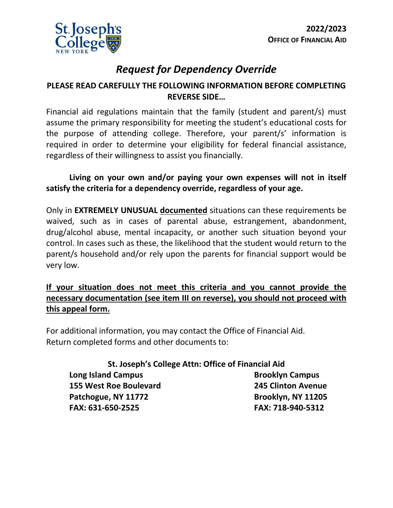

# *Request for Dependency Override*

### **PLEASE READ CAREFULLY THE FOLLOWING INFORMATION BEFORE COMPLETING REVERSE SIDE…**

Financial aid regulations maintain that the family (student and parent/s) must assume the primary responsibility for meeting the student's educational costs for the purpose of attending college. Therefore, your parent/s' information is required in order to determine your eligibility for federal financial assistance, regardless of their willingness to assist you financially.

### **Living on your own and/or paying your own expenses will not in itself satisfy the criteria for a dependency override, regardless of your age.**

Only in **EXTREMELY UNUSUAL documented** situations can these requirements be waived, such as in cases of parental abuse, estrangement, abandonment, drug/alcohol abuse, mental incapacity, or another such situation beyond your control. In cases such as these, the likelihood that the student would return to the parent/s household and/or rely upon the parents for financial support would be very low.

### **If your situation does not meet this criteria and you cannot provide the necessary documentation (see item III on reverse), you should not proceed with this appeal form.**

For additional information, you may contact the Office of Financial Aid. Return completed forms and other documents to:

**St. Joseph's College Attn: Office of Financial Aid Long Island Campus Brooklyn Campus 155 West Roe Boulevard 245 Clinton Avenue** Patchogue, NY 11772 **Brooklyn, NY 11205 FAX: 631-650-2525 FAX: 718-940-5312**